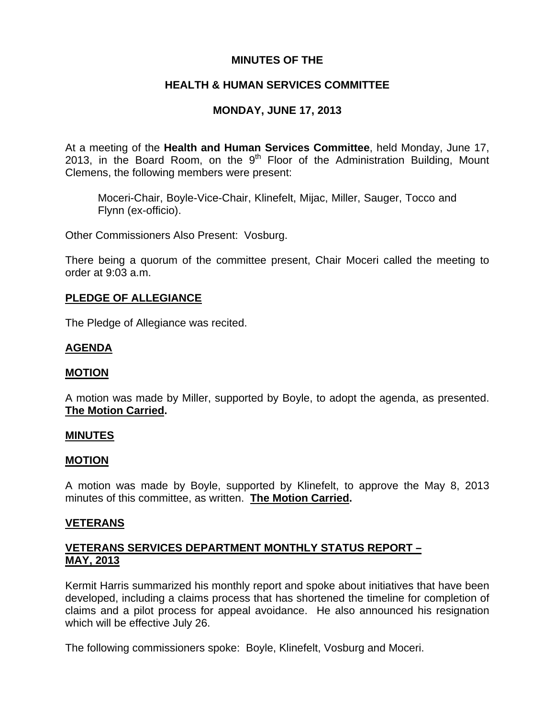## **MINUTES OF THE**

# **HEALTH & HUMAN SERVICES COMMITTEE**

# **MONDAY, JUNE 17, 2013**

At a meeting of the **Health and Human Services Committee**, held Monday, June 17, 2013, in the Board Room, on the  $9<sup>th</sup>$  Floor of the Administration Building, Mount Clemens, the following members were present:

Moceri-Chair, Boyle-Vice-Chair, Klinefelt, Mijac, Miller, Sauger, Tocco and Flynn (ex-officio).

Other Commissioners Also Present: Vosburg.

There being a quorum of the committee present, Chair Moceri called the meeting to order at 9:03 a.m.

## **PLEDGE OF ALLEGIANCE**

The Pledge of Allegiance was recited.

### **AGENDA**

### **MOTION**

A motion was made by Miller, supported by Boyle, to adopt the agenda, as presented. **The Motion Carried.** 

#### **MINUTES**

### **MOTION**

A motion was made by Boyle, supported by Klinefelt, to approve the May 8, 2013 minutes of this committee, as written. **The Motion Carried.** 

### **VETERANS**

## **VETERANS SERVICES DEPARTMENT MONTHLY STATUS REPORT – MAY, 2013**

Kermit Harris summarized his monthly report and spoke about initiatives that have been developed, including a claims process that has shortened the timeline for completion of claims and a pilot process for appeal avoidance. He also announced his resignation which will be effective July 26.

The following commissioners spoke: Boyle, Klinefelt, Vosburg and Moceri.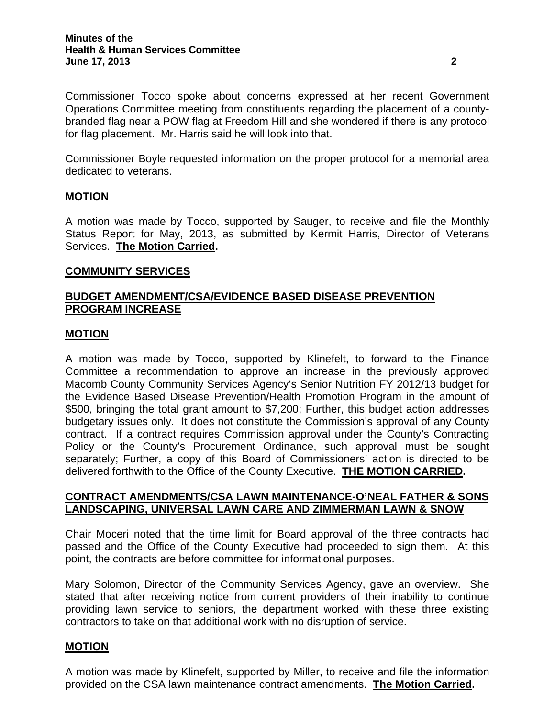Commissioner Boyle requested information on the proper protocol for a memorial area dedicated to veterans.

### **MOTION**

A motion was made by Tocco, supported by Sauger, to receive and file the Monthly Status Report for May, 2013, as submitted by Kermit Harris, Director of Veterans Services. **The Motion Carried.** 

### **COMMUNITY SERVICES**

# **BUDGET AMENDMENT/CSA/EVIDENCE BASED DISEASE PREVENTION PROGRAM INCREASE**

### **MOTION**

A motion was made by Tocco, supported by Klinefelt, to forward to the Finance Committee a recommendation to approve an increase in the previously approved Macomb County Community Services Agency's Senior Nutrition FY 2012/13 budget for the Evidence Based Disease Prevention/Health Promotion Program in the amount of \$500, bringing the total grant amount to \$7,200; Further, this budget action addresses budgetary issues only. It does not constitute the Commission's approval of any County contract. If a contract requires Commission approval under the County's Contracting Policy or the County's Procurement Ordinance, such approval must be sought separately; Further, a copy of this Board of Commissioners' action is directed to be delivered forthwith to the Office of the County Executive. **THE MOTION CARRIED.** 

## **CONTRACT AMENDMENTS/CSA LAWN MAINTENANCE-O'NEAL FATHER & SONS LANDSCAPING, UNIVERSAL LAWN CARE AND ZIMMERMAN LAWN & SNOW**

Chair Moceri noted that the time limit for Board approval of the three contracts had passed and the Office of the County Executive had proceeded to sign them. At this point, the contracts are before committee for informational purposes.

Mary Solomon, Director of the Community Services Agency, gave an overview. She stated that after receiving notice from current providers of their inability to continue providing lawn service to seniors, the department worked with these three existing contractors to take on that additional work with no disruption of service.

# **MOTION**

A motion was made by Klinefelt, supported by Miller, to receive and file the information provided on the CSA lawn maintenance contract amendments. **The Motion Carried.**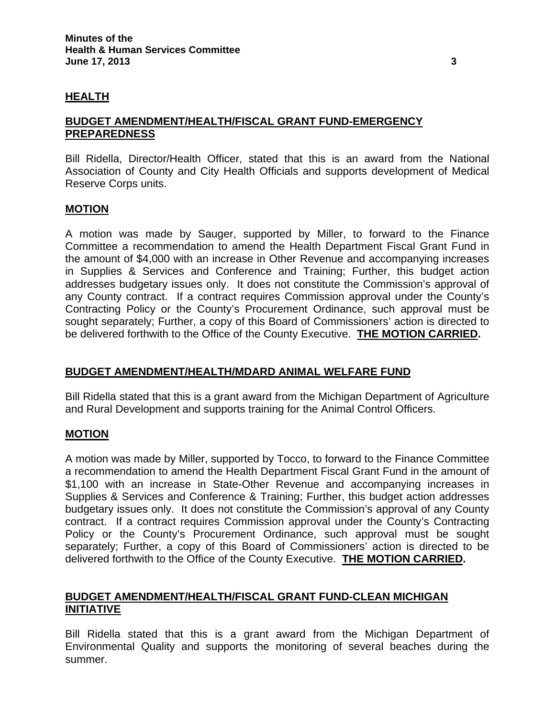### **HEALTH**

## **BUDGET AMENDMENT/HEALTH/FISCAL GRANT FUND-EMERGENCY PREPAREDNESS**

Bill Ridella, Director/Health Officer, stated that this is an award from the National Association of County and City Health Officials and supports development of Medical Reserve Corps units.

### **MOTION**

A motion was made by Sauger, supported by Miller, to forward to the Finance Committee a recommendation to amend the Health Department Fiscal Grant Fund in the amount of \$4,000 with an increase in Other Revenue and accompanying increases in Supplies & Services and Conference and Training; Further, this budget action addresses budgetary issues only. It does not constitute the Commission's approval of any County contract. If a contract requires Commission approval under the County's Contracting Policy or the County's Procurement Ordinance, such approval must be sought separately; Further, a copy of this Board of Commissioners' action is directed to be delivered forthwith to the Office of the County Executive. **THE MOTION CARRIED.** 

### **BUDGET AMENDMENT/HEALTH/MDARD ANIMAL WELFARE FUND**

Bill Ridella stated that this is a grant award from the Michigan Department of Agriculture and Rural Development and supports training for the Animal Control Officers.

### **MOTION**

A motion was made by Miller, supported by Tocco, to forward to the Finance Committee a recommendation to amend the Health Department Fiscal Grant Fund in the amount of \$1,100 with an increase in State-Other Revenue and accompanying increases in Supplies & Services and Conference & Training; Further, this budget action addresses budgetary issues only. It does not constitute the Commission's approval of any County contract. If a contract requires Commission approval under the County's Contracting Policy or the County's Procurement Ordinance, such approval must be sought separately; Further, a copy of this Board of Commissioners' action is directed to be delivered forthwith to the Office of the County Executive. **THE MOTION CARRIED.** 

## **BUDGET AMENDMENT/HEALTH/FISCAL GRANT FUND-CLEAN MICHIGAN INITIATIVE**

Bill Ridella stated that this is a grant award from the Michigan Department of Environmental Quality and supports the monitoring of several beaches during the summer.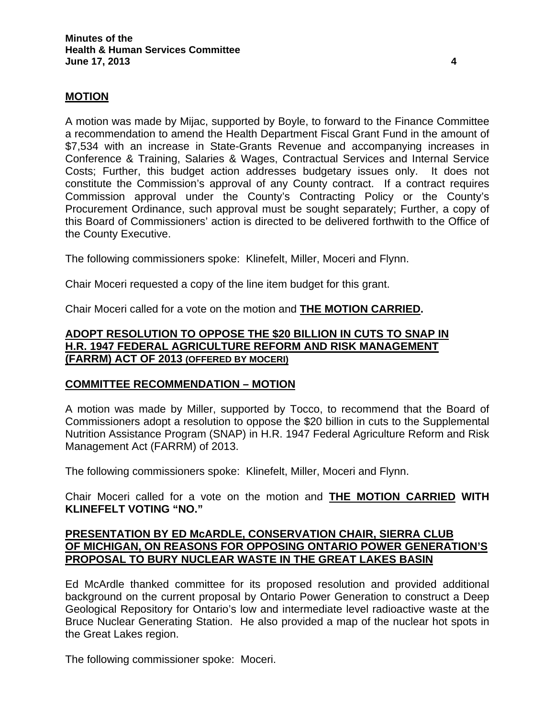### **MOTION**

A motion was made by Mijac, supported by Boyle, to forward to the Finance Committee a recommendation to amend the Health Department Fiscal Grant Fund in the amount of \$7,534 with an increase in State-Grants Revenue and accompanying increases in Conference & Training, Salaries & Wages, Contractual Services and Internal Service Costs; Further, this budget action addresses budgetary issues only. It does not constitute the Commission's approval of any County contract. If a contract requires Commission approval under the County's Contracting Policy or the County's Procurement Ordinance, such approval must be sought separately; Further, a copy of this Board of Commissioners' action is directed to be delivered forthwith to the Office of the County Executive.

The following commissioners spoke: Klinefelt, Miller, Moceri and Flynn.

Chair Moceri requested a copy of the line item budget for this grant.

Chair Moceri called for a vote on the motion and **THE MOTION CARRIED.** 

## **ADOPT RESOLUTION TO OPPOSE THE \$20 BILLION IN CUTS TO SNAP IN H.R. 1947 FEDERAL AGRICULTURE REFORM AND RISK MANAGEMENT (FARRM) ACT OF 2013 (OFFERED BY MOCERI)**

### **COMMITTEE RECOMMENDATION – MOTION**

A motion was made by Miller, supported by Tocco, to recommend that the Board of Commissioners adopt a resolution to oppose the \$20 billion in cuts to the Supplemental Nutrition Assistance Program (SNAP) in H.R. 1947 Federal Agriculture Reform and Risk Management Act (FARRM) of 2013.

The following commissioners spoke: Klinefelt, Miller, Moceri and Flynn.

Chair Moceri called for a vote on the motion and **THE MOTION CARRIED WITH KLINEFELT VOTING "NO."** 

## **PRESENTATION BY ED McARDLE, CONSERVATION CHAIR, SIERRA CLUB OF MICHIGAN, ON REASONS FOR OPPOSING ONTARIO POWER GENERATION'S PROPOSAL TO BURY NUCLEAR WASTE IN THE GREAT LAKES BASIN**

Ed McArdle thanked committee for its proposed resolution and provided additional background on the current proposal by Ontario Power Generation to construct a Deep Geological Repository for Ontario's low and intermediate level radioactive waste at the Bruce Nuclear Generating Station. He also provided a map of the nuclear hot spots in the Great Lakes region.

The following commissioner spoke: Moceri.